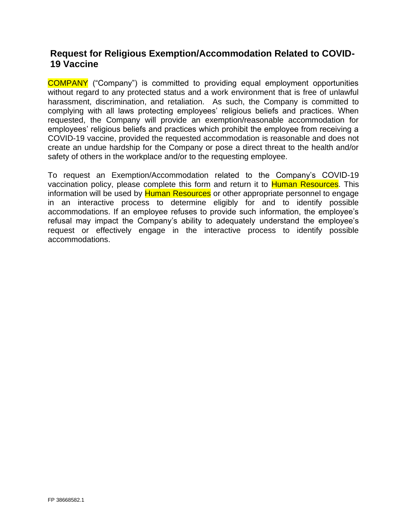## **Request for Religious Exemption/Accommodation Related to COVID-19 Vaccine**

COMPANY ("Company") is committed to providing equal employment opportunities without regard to any protected status and a work environment that is free of unlawful harassment, discrimination, and retaliation. As such, the Company is committed to complying with all laws protecting employees' religious beliefs and practices. When requested, the Company will provide an exemption/reasonable accommodation for employees' religious beliefs and practices which prohibit the employee from receiving a COVID-19 vaccine, provided the requested accommodation is reasonable and does not create an undue hardship for the Company or pose a direct threat to the health and/or safety of others in the workplace and/or to the requesting employee.

To request an Exemption/Accommodation related to the Company's COVID-19 vaccination policy, please complete this form and return it to Human Resources. This information will be used by Human Resources or other appropriate personnel to engage in an interactive process to determine eligibly for and to identify possible accommodations. If an employee refuses to provide such information, the employee's refusal may impact the Company's ability to adequately understand the employee's request or effectively engage in the interactive process to identify possible accommodations.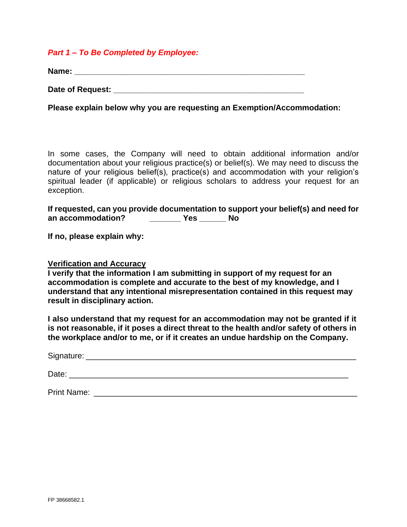## *Part 1 – To Be Completed by Employee:*

**Name: \_\_\_\_\_\_\_\_\_\_\_\_\_\_\_\_\_\_\_\_\_\_\_\_\_\_\_\_\_\_\_\_\_\_\_\_\_\_\_\_\_\_\_\_\_\_\_\_\_\_\_\_**

**Date of Request: \_\_\_\_\_\_\_\_\_\_\_\_\_\_\_\_\_\_\_\_\_\_\_\_\_\_\_\_\_\_\_\_\_\_\_\_\_\_\_\_\_\_\_**

**Please explain below why you are requesting an Exemption/Accommodation:** 

In some cases, the Company will need to obtain additional information and/or documentation about your religious practice(s) or belief(s). We may need to discuss the nature of your religious belief(s), practice(s) and accommodation with your religion's spiritual leader (if applicable) or religious scholars to address your request for an exception.

**If requested, can you provide documentation to support your belief(s) and need for an accommodation? \_\_\_\_\_\_\_ Yes \_\_\_\_\_\_ No**

**If no, please explain why:**

## **Verification and Accuracy**

**I verify that the information I am submitting in support of my request for an accommodation is complete and accurate to the best of my knowledge, and I understand that any intentional misrepresentation contained in this request may result in disciplinary action.**

**I also understand that my request for an accommodation may not be granted if it is not reasonable, if it poses a direct threat to the health and/or safety of others in the workplace and/or to me, or if it creates an undue hardship on the Company.**

Signature:  $\Box$ 

Date:  $\Box$ 

Print Name: **Example 20** and 20 and 20 and 20 and 20 and 20 and 20 and 20 and 20 and 20 and 20 and 20 and 20 and 20 and 20 and 20 and 20 and 20 and 20 and 20 and 20 and 20 and 20 and 20 and 20 and 20 and 20 and 20 and 20 a